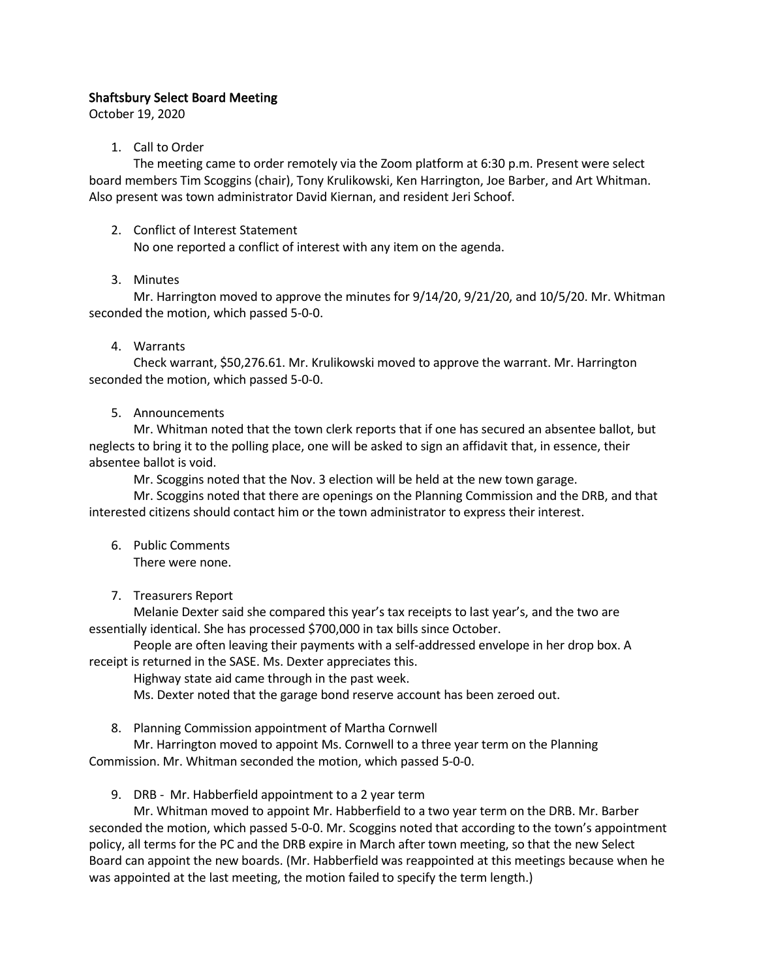# Shaftsbury Select Board Meeting

October 19, 2020

### 1. Call to Order

The meeting came to order remotely via the Zoom platform at 6:30 p.m. Present were select board members Tim Scoggins (chair), Tony Krulikowski, Ken Harrington, Joe Barber, and Art Whitman. Also present was town administrator David Kiernan, and resident Jeri Schoof.

2. Conflict of Interest Statement

No one reported a conflict of interest with any item on the agenda.

#### 3. Minutes

Mr. Harrington moved to approve the minutes for 9/14/20, 9/21/20, and 10/5/20. Mr. Whitman seconded the motion, which passed 5-0-0.

### 4. Warrants

Check warrant, \$50,276.61. Mr. Krulikowski moved to approve the warrant. Mr. Harrington seconded the motion, which passed 5-0-0.

#### 5. Announcements

Mr. Whitman noted that the town clerk reports that if one has secured an absentee ballot, but neglects to bring it to the polling place, one will be asked to sign an affidavit that, in essence, their absentee ballot is void.

Mr. Scoggins noted that the Nov. 3 election will be held at the new town garage.

Mr. Scoggins noted that there are openings on the Planning Commission and the DRB, and that interested citizens should contact him or the town administrator to express their interest.

6. Public Comments

There were none.

7. Treasurers Report

Melanie Dexter said she compared this year's tax receipts to last year's, and the two are essentially identical. She has processed \$700,000 in tax bills since October.

People are often leaving their payments with a self-addressed envelope in her drop box. A receipt is returned in the SASE. Ms. Dexter appreciates this.

Highway state aid came through in the past week.

Ms. Dexter noted that the garage bond reserve account has been zeroed out.

8. Planning Commission appointment of Martha Cornwell

Mr. Harrington moved to appoint Ms. Cornwell to a three year term on the Planning Commission. Mr. Whitman seconded the motion, which passed 5-0-0.

9. DRB - Mr. Habberfield appointment to a 2 year term

Mr. Whitman moved to appoint Mr. Habberfield to a two year term on the DRB. Mr. Barber seconded the motion, which passed 5-0-0. Mr. Scoggins noted that according to the town's appointment policy, all terms for the PC and the DRB expire in March after town meeting, so that the new Select Board can appoint the new boards. (Mr. Habberfield was reappointed at this meetings because when he was appointed at the last meeting, the motion failed to specify the term length.)